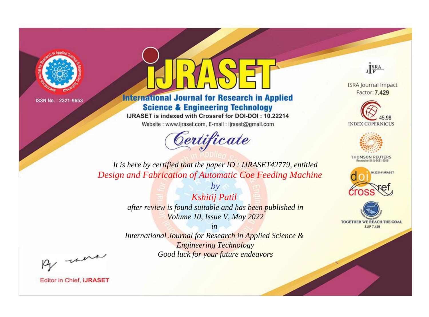



**International Journal for Research in Applied Science & Engineering Technology** 

IJRASET is indexed with Crossref for DOI-DOI: 10.22214

Website: www.ijraset.com, E-mail: ijraset@gmail.com



JERA

**ISRA Journal Impact** Factor: 7.429





**THOMSON REUTERS** 



TOGETHER WE REACH THE GOAL **SJIF 7.429** 

*It is here by certified that the paper ID : IJRASET42779, entitled Design and Fabrication of Automatic Coe Feeding Machine*

> *by Kshitij Patil after review is found suitable and has been published in Volume 10, Issue V, May 2022*

> > *in*

*International Journal for Research in Applied Science & Engineering Technology Good luck for your future endeavors*

By morn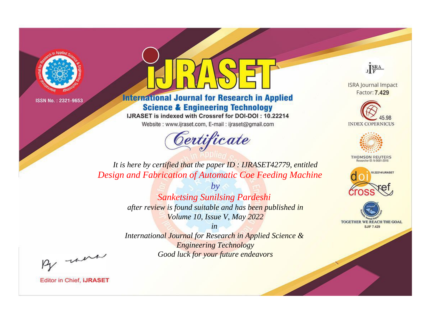

## **International Journal for Research in Applied Science & Engineering Technology**

IJRASET is indexed with Crossref for DOI-DOI: 10.22214

Website: www.ijraset.com, E-mail: ijraset@gmail.com



JERA

**ISRA Journal Impact** Factor: 7.429





**THOMSON REUTERS** 



TOGETHER WE REACH THE GOAL **SJIF 7.429** 

*It is here by certified that the paper ID : IJRASET42779, entitled Design and Fabrication of Automatic Coe Feeding Machine*

> *by Sanketsing Sunilsing Pardeshi after review is found suitable and has been published in Volume 10, Issue V, May 2022*

> *in International Journal for Research in Applied Science &*

*Engineering Technology Good luck for your future endeavors*

By morn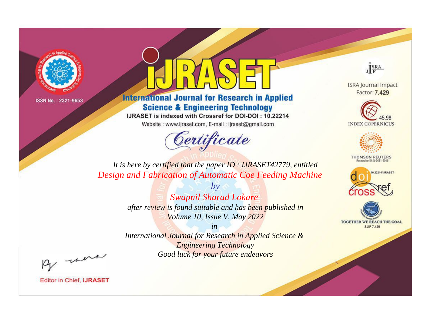



**International Journal for Research in Applied Science & Engineering Technology** 

IJRASET is indexed with Crossref for DOI-DOI: 10.22214

Website: www.ijraset.com, E-mail: ijraset@gmail.com



JERA

**ISRA Journal Impact** Factor: 7.429





**THOMSON REUTERS** 



TOGETHER WE REACH THE GOAL **SJIF 7.429** 

It is here by certified that the paper ID: IJRASET42779, entitled Design and Fabrication of Automatic Coe Feeding Machine

> $b\nu$ **Swapnil Sharad Lokare** after review is found suitable and has been published in Volume 10, Issue V, May 2022

> $in$ International Journal for Research in Applied Science & **Engineering Technology** Good luck for your future endeavors

By morn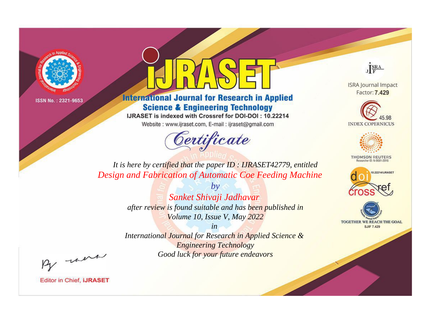



**International Journal for Research in Applied Science & Engineering Technology** 

IJRASET is indexed with Crossref for DOI-DOI: 10.22214

Website: www.ijraset.com, E-mail: ijraset@gmail.com



JERA

**ISRA Journal Impact** Factor: 7.429





**THOMSON REUTERS** 



TOGETHER WE REACH THE GOAL **SJIF 7.429** 

*It is here by certified that the paper ID : IJRASET42779, entitled Design and Fabrication of Automatic Coe Feeding Machine*

> *by Sanket Shivaji Jadhavar after review is found suitable and has been published in Volume 10, Issue V, May 2022*

> > *in*

*International Journal for Research in Applied Science & Engineering Technology Good luck for your future endeavors*

By morn